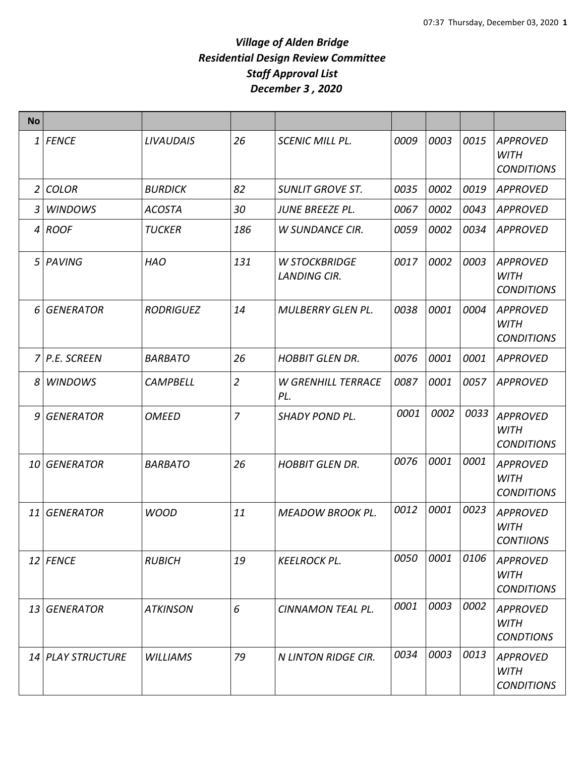| <b>No</b>      |                   |                  |                |                                             |      |      |      |                                                     |
|----------------|-------------------|------------------|----------------|---------------------------------------------|------|------|------|-----------------------------------------------------|
| $\mathbf{1}$   | <b>FENCE</b>      | <b>LIVAUDAIS</b> | 26             | <b>SCENIC MILL PL.</b>                      | 0009 | 0003 | 0015 | <b>APPROVED</b><br>WITH<br><b>CONDITIONS</b>        |
| $\overline{2}$ | <b>COLOR</b>      | <b>BURDICK</b>   | 82             | <b>SUNLIT GROVE ST.</b>                     | 0035 | 0002 | 0019 | <b>APPROVED</b>                                     |
| 3              | <b>WINDOWS</b>    | <b>ACOSTA</b>    | 30             | <b>JUNE BREEZE PL.</b>                      | 0067 | 0002 | 0043 | <b>APPROVED</b>                                     |
| $\overline{4}$ | <b>ROOF</b>       | <b>TUCKER</b>    | 186            | <b>W SUNDANCE CIR.</b>                      | 0059 | 0002 | 0034 | <b>APPROVED</b>                                     |
|                | 5 PAVING          | <b>HAO</b>       | 131            | <b>W STOCKBRIDGE</b><br><b>LANDING CIR.</b> | 0017 | 0002 | 0003 | <b>APPROVED</b><br><b>WITH</b><br><b>CONDITIONS</b> |
| 6              | <b>GENERATOR</b>  | <b>RODRIGUEZ</b> | 14             | <b>MULBERRY GLEN PL.</b>                    | 0038 | 0001 | 0004 | <b>APPROVED</b><br>WITH<br><b>CONDITIONS</b>        |
|                | 7 P.E. SCREEN     | <b>BARBATO</b>   | 26             | <b>HOBBIT GLEN DR.</b>                      | 0076 | 0001 | 0001 | <b>APPROVED</b>                                     |
| 8              | <b>WINDOWS</b>    | <b>CAMPBELL</b>  | $\overline{2}$ | <b>W GRENHILL TERRACE</b><br>PL.            | 0087 | 0001 | 0057 | <b>APPROVED</b>                                     |
| 9              | <b>GENERATOR</b>  | <b>OMEED</b>     | 7              | SHADY POND PL.                              | 0001 | 0002 | 0033 | <b>APPROVED</b><br><b>WITH</b><br><b>CONDITIONS</b> |
|                | 10 GENERATOR      | <b>BARBATO</b>   | 26             | <b>HOBBIT GLEN DR.</b>                      | 0076 | 0001 | 0001 | <b>APPROVED</b><br><b>WITH</b><br><b>CONDITIONS</b> |
| 11             | <b>GENERATOR</b>  | <b>WOOD</b>      | 11             | <b>MEADOW BROOK PL.</b>                     | 0012 | 0001 | 0023 | <b>APPROVED</b><br><b>WITH</b><br><b>CONTIIONS</b>  |
|                | 12 FENCE          | <b>RUBICH</b>    | 19             | <b>KEELROCK PL.</b>                         | 0050 | 0001 | 0106 | <b>APPROVED</b><br><b>WITH</b><br><b>CONDITIONS</b> |
|                | 13 GENERATOR      | <b>ATKINSON</b>  | 6              | CINNAMON TEAL PL.                           | 0001 | 0003 | 0002 | <b>APPROVED</b><br><b>WITH</b><br><b>CONDTIONS</b>  |
|                | 14 PLAY STRUCTURE | <b>WILLIAMS</b>  | 79             | N LINTON RIDGE CIR.                         | 0034 | 0003 | 0013 | <b>APPROVED</b><br><b>WITH</b><br><b>CONDITIONS</b> |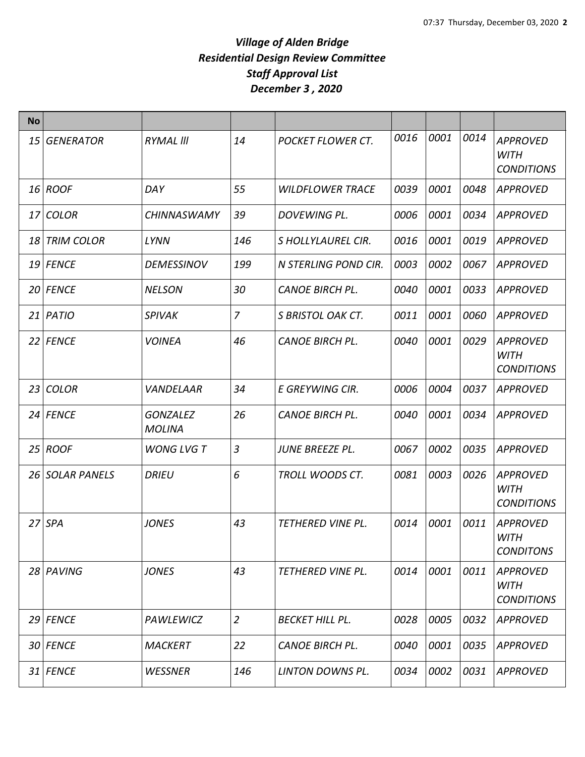| <b>No</b>       |                  |                                  |                |                         |      |      |      |                                                     |
|-----------------|------------------|----------------------------------|----------------|-------------------------|------|------|------|-----------------------------------------------------|
| 15              | <b>GENERATOR</b> | <b>RYMAL III</b>                 | 14             | POCKET FLOWER CT.       | 0016 | 0001 | 0014 | <b>APPROVED</b><br><b>WITH</b><br><b>CONDITIONS</b> |
|                 | 16 ROOF          | DAY                              | 55             | <b>WILDFLOWER TRACE</b> | 0039 | 0001 | 0048 | <b>APPROVED</b>                                     |
| 17              | <b>COLOR</b>     | <b>CHINNASWAMY</b>               | 39             | DOVEWING PL.            | 0006 | 0001 | 0034 | <b>APPROVED</b>                                     |
|                 | 18 TRIM COLOR    | LYNN                             | 146            | S HOLLYLAUREL CIR.      | 0016 | 0001 | 0019 | <b>APPROVED</b>                                     |
|                 | 19 FENCE         | <b>DEMESSINOV</b>                | 199            | N STERLING POND CIR.    | 0003 | 0002 | 0067 | <b>APPROVED</b>                                     |
|                 | 20 FENCE         | <b>NELSON</b>                    | 30             | <b>CANOE BIRCH PL.</b>  | 0040 | 0001 | 0033 | <b>APPROVED</b>                                     |
|                 | $21$ PATIO       | <b>SPIVAK</b>                    | $\overline{7}$ | S BRISTOL OAK CT.       | 0011 | 0001 | 0060 | <b>APPROVED</b>                                     |
|                 | 22 FENCE         | <b>VOINEA</b>                    | 46             | <b>CANOE BIRCH PL.</b>  | 0040 | 0001 | 0029 | <b>APPROVED</b><br><b>WITH</b><br><b>CONDITIONS</b> |
| 23 <sub>1</sub> | <b>COLOR</b>     | <b>VANDELAAR</b>                 | 34             | E GREYWING CIR.         | 0006 | 0004 | 0037 | <b>APPROVED</b>                                     |
|                 | 24 FENCE         | <b>GONZALEZ</b><br><b>MOLINA</b> | 26             | <b>CANOE BIRCH PL.</b>  | 0040 | 0001 | 0034 | <b>APPROVED</b>                                     |
| 25 <sub>1</sub> | <b>ROOF</b>      | <b>WONG LVG T</b>                | $\overline{3}$ | JUNE BREEZE PL.         | 0067 | 0002 | 0035 | <b>APPROVED</b>                                     |
|                 | 26 SOLAR PANELS  | <b>DRIEU</b>                     | 6              | TROLL WOODS CT.         | 0081 | 0003 | 0026 | <b>APPROVED</b><br><b>WITH</b><br><b>CONDITIONS</b> |
| 27              | <b>SPA</b>       | <b>JONES</b>                     | 43             | TETHERED VINE PL.       | 0014 | 0001 | 0011 | <b>APPROVED</b><br>WITH<br><b>CONDITONS</b>         |
|                 | 28 PAVING        | <b>JONES</b>                     | 43             | TETHERED VINE PL.       | 0014 | 0001 | 0011 | <b>APPROVED</b><br><b>WITH</b><br><b>CONDITIONS</b> |
|                 | 29 FENCE         | PAWLEWICZ                        | $\overline{2}$ | <b>BECKET HILL PL.</b>  | 0028 | 0005 | 0032 | <b>APPROVED</b>                                     |
|                 | 30 FENCE         | <b>MACKERT</b>                   | 22             | <b>CANOE BIRCH PL.</b>  | 0040 | 0001 | 0035 | <b>APPROVED</b>                                     |
|                 | 31 FENCE         | <b>WESSNER</b>                   | 146            | LINTON DOWNS PL.        | 0034 | 0002 | 0031 | <b>APPROVED</b>                                     |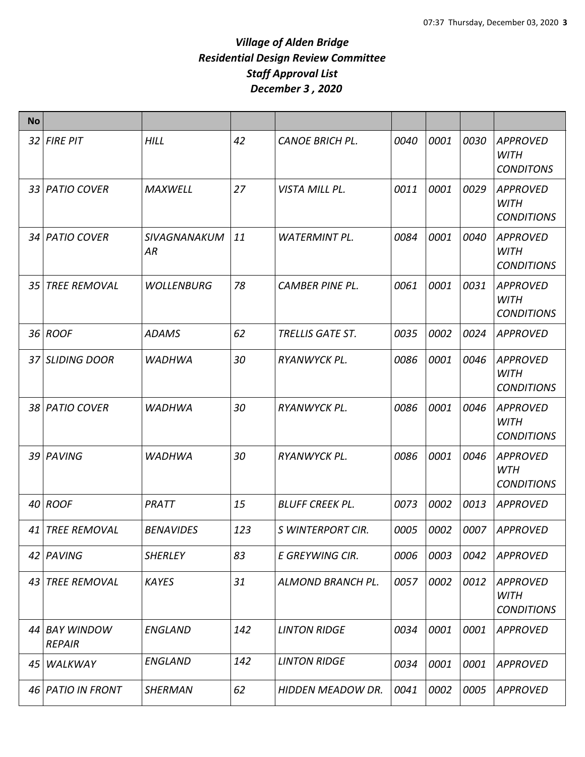| <b>No</b>       |                                |                           |     |                          |      |      |      |                                                     |
|-----------------|--------------------------------|---------------------------|-----|--------------------------|------|------|------|-----------------------------------------------------|
|                 | 32 FIRE PIT                    | <b>HILL</b>               | 42  | <b>CANOE BRICH PL.</b>   | 0040 | 0001 | 0030 | <b>APPROVED</b><br><b>WITH</b><br><b>CONDITONS</b>  |
|                 | 33 PATIO COVER                 | <b>MAXWELL</b>            | 27  | VISTA MILL PL.           | 0011 | 0001 | 0029 | <b>APPROVED</b><br><b>WITH</b><br><b>CONDITIONS</b> |
|                 | 34 PATIO COVER                 | <b>SIVAGNANAKUM</b><br>ΑR | 11  | <b>WATERMINT PL.</b>     | 0084 | 0001 | 0040 | <b>APPROVED</b><br><b>WITH</b><br><b>CONDITIONS</b> |
| 35              | <b>TREE REMOVAL</b>            | <b>WOLLENBURG</b>         | 78  | <b>CAMBER PINE PL.</b>   | 0061 | 0001 | 0031 | <b>APPROVED</b><br><b>WITH</b><br><b>CONDITIONS</b> |
|                 | 36 ROOF                        | ADAMS                     | 62  | <b>TRELLIS GATE ST.</b>  | 0035 | 0002 | 0024 | <b>APPROVED</b>                                     |
|                 | 37 SLIDING DOOR                | <b>WADHWA</b>             | 30  | RYANWYCK PL.             | 0086 | 0001 | 0046 | <b>APPROVED</b><br><b>WITH</b><br><b>CONDITIONS</b> |
|                 | 38 PATIO COVER                 | <b>WADHWA</b>             | 30  | RYANWYCK PL.             | 0086 | 0001 | 0046 | <b>APPROVED</b><br><b>WITH</b><br><b>CONDITIONS</b> |
|                 | 39 PAVING                      | <b>WADHWA</b>             | 30  | RYANWYCK PL.             | 0086 | 0001 | 0046 | <b>APPROVED</b><br>WTH<br><b>CONDITIONS</b>         |
|                 | 40 ROOF                        | PRATT                     | 15  | <b>BLUFF CREEK PL.</b>   | 0073 | 0002 | 0013 | <b>APPROVED</b>                                     |
|                 | 41 TREE REMOVAL                | <b>BENAVIDES</b>          | 123 | S WINTERPORT CIR.        | 0005 | 0002 | 0007 | <b>APPROVED</b>                                     |
|                 | 42 PAVING                      | <b>SHERLEY</b>            | 83  | E GREYWING CIR.          | 0006 | 0003 | 0042 | <b>APPROVED</b>                                     |
| 43 <sup>1</sup> | <b>TREE REMOVAL</b>            | <b>KAYES</b>              | 31  | ALMOND BRANCH PL.        | 0057 | 0002 | 0012 | <b>APPROVED</b><br><b>WITH</b><br><b>CONDITIONS</b> |
|                 | 44 BAY WINDOW<br><b>REPAIR</b> | <b>ENGLAND</b>            | 142 | <b>LINTON RIDGE</b>      | 0034 | 0001 | 0001 | <b>APPROVED</b>                                     |
| 45              | WALKWAY                        | <b>ENGLAND</b>            | 142 | <b>LINTON RIDGE</b>      | 0034 | 0001 | 0001 | <b>APPROVED</b>                                     |
|                 | 46 PATIO IN FRONT              | <b>SHERMAN</b>            | 62  | <b>HIDDEN MEADOW DR.</b> | 0041 | 0002 | 0005 | <b>APPROVED</b>                                     |